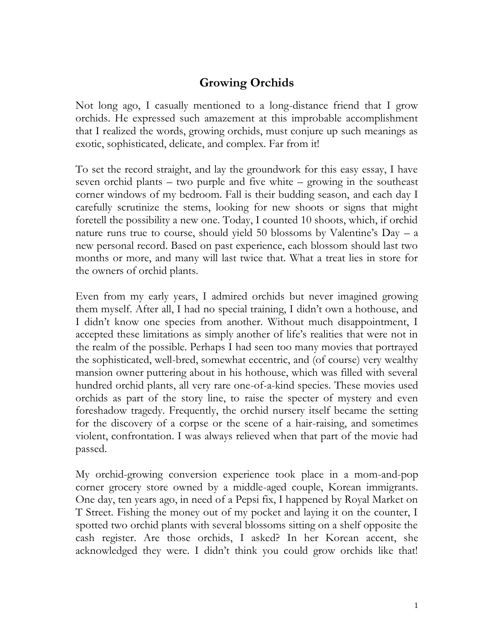## **Growing Orchids**

Not long ago, I casually mentioned to a long-distance friend that I grow orchids. He expressed such amazement at this improbable accomplishment that I realized the words, growing orchids, must conjure up such meanings as exotic, sophisticated, delicate, and complex. Far from it!

To set the record straight, and lay the groundwork for this easy essay, I have seven orchid plants – two purple and five white – growing in the southeast corner windows of my bedroom. Fall is their budding season, and each day I carefully scrutinize the stems, looking for new shoots or signs that might foretell the possibility a new one. Today, I counted 10 shoots, which, if orchid nature runs true to course, should yield 50 blossoms by Valentine's Day – a new personal record. Based on past experience, each blossom should last two months or more, and many will last twice that. What a treat lies in store for the owners of orchid plants.

Even from my early years, I admired orchids but never imagined growing them myself. After all, I had no special training, I didn't own a hothouse, and I didn't know one species from another. Without much disappointment, I accepted these limitations as simply another of life's realities that were not in the realm of the possible. Perhaps I had seen too many movies that portrayed the sophisticated, well-bred, somewhat eccentric, and (of course) very wealthy mansion owner puttering about in his hothouse, which was filled with several hundred orchid plants, all very rare one-of-a-kind species. These movies used orchids as part of the story line, to raise the specter of mystery and even foreshadow tragedy. Frequently, the orchid nursery itself became the setting for the discovery of a corpse or the scene of a hair-raising, and sometimes violent, confrontation. I was always relieved when that part of the movie had passed.

My orchid-growing conversion experience took place in a mom-and-pop corner grocery store owned by a middle-aged couple, Korean immigrants. One day, ten years ago, in need of a Pepsi fix, I happened by Royal Market on T Street. Fishing the money out of my pocket and laying it on the counter, I spotted two orchid plants with several blossoms sitting on a shelf opposite the cash register. Are those orchids, I asked? In her Korean accent, she acknowledged they were. I didn't think you could grow orchids like that!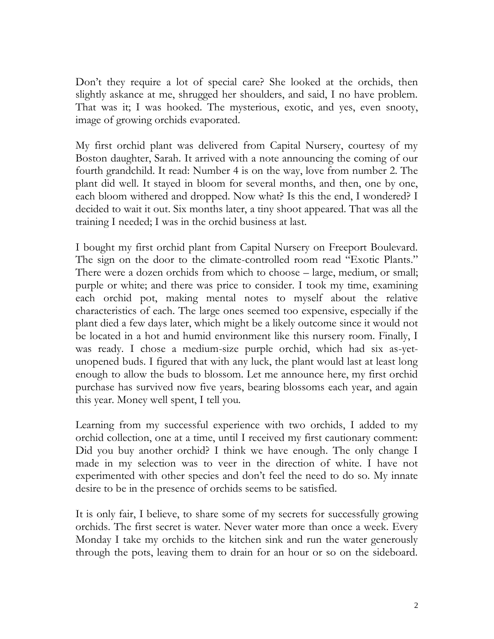Don't they require a lot of special care? She looked at the orchids, then slightly askance at me, shrugged her shoulders, and said, I no have problem. That was it; I was hooked. The mysterious, exotic, and yes, even snooty, image of growing orchids evaporated.

My first orchid plant was delivered from Capital Nursery, courtesy of my Boston daughter, Sarah. It arrived with a note announcing the coming of our fourth grandchild. It read: Number 4 is on the way, love from number 2. The plant did well. It stayed in bloom for several months, and then, one by one, each bloom withered and dropped. Now what? Is this the end, I wondered? I decided to wait it out. Six months later, a tiny shoot appeared. That was all the training I needed; I was in the orchid business at last.

I bought my first orchid plant from Capital Nursery on Freeport Boulevard. The sign on the door to the climate-controlled room read "Exotic Plants." There were a dozen orchids from which to choose – large, medium, or small; purple or white; and there was price to consider. I took my time, examining each orchid pot, making mental notes to myself about the relative characteristics of each. The large ones seemed too expensive, especially if the plant died a few days later, which might be a likely outcome since it would not be located in a hot and humid environment like this nursery room. Finally, I was ready. I chose a medium-size purple orchid, which had six as-yetunopened buds. I figured that with any luck, the plant would last at least long enough to allow the buds to blossom. Let me announce here, my first orchid purchase has survived now five years, bearing blossoms each year, and again this year. Money well spent, I tell you.

Learning from my successful experience with two orchids, I added to my orchid collection, one at a time, until I received my first cautionary comment: Did you buy another orchid? I think we have enough. The only change I made in my selection was to veer in the direction of white. I have not experimented with other species and don't feel the need to do so. My innate desire to be in the presence of orchids seems to be satisfied.

It is only fair, I believe, to share some of my secrets for successfully growing orchids. The first secret is water. Never water more than once a week. Every Monday I take my orchids to the kitchen sink and run the water generously through the pots, leaving them to drain for an hour or so on the sideboard.